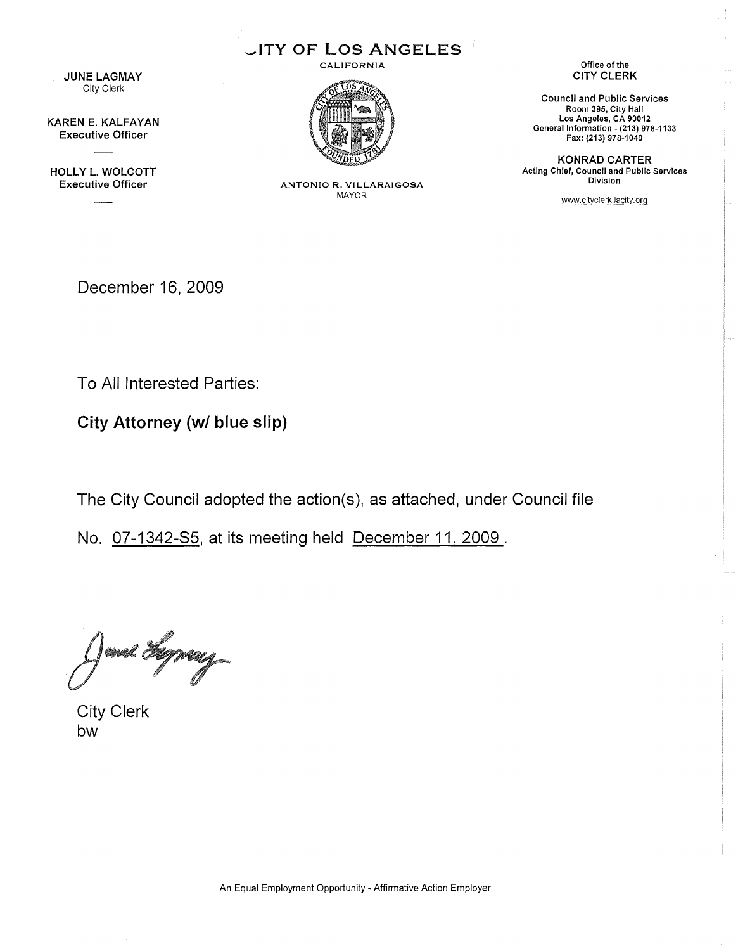**JUNE LAGMAY** City Clerk

KAREN E. KAlFAYAN Executive Officer

HOllY L. WOLCOTT

\_ITY OF LOS ANGELES CALIFORNIA



Executive Officer ANTONIO R. VILLARAIGOSA MAYOR

Office of the CITY CLERK

Council and Public Services Room 395, City Hall Los Angeles, CA 90012 General Information - (213) 978-1133 Fax: (213) 978-1040

KONRAD CARTER Acting Chief, Council and Public Services Division

www,cityclerk,lacity,org

December 16, 2009

To All Interested Parties:

**City Attorney** *(wI* **blue slip)**

The City Council adopted the action(s), as attached, under Council file

No. 07-1342-85, at its meeting held December 11, 2009 .

and Lyway

City Clerk bw

An Equal Employment Opportunity - Affirmative Action Employer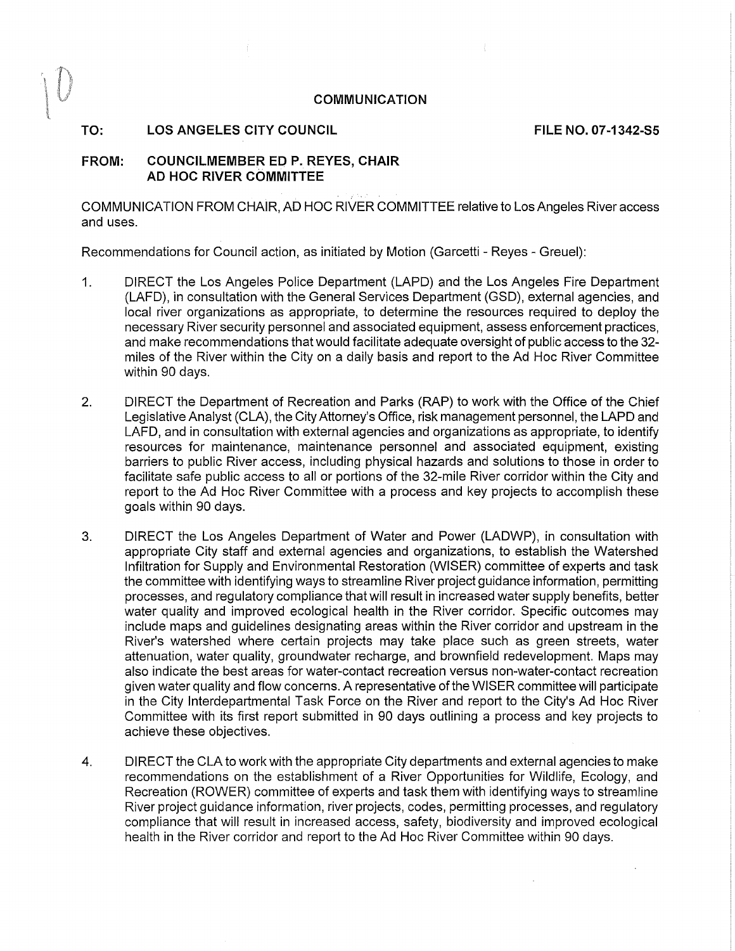#### COMMUNICATION

#### TO: LOS ANGELES CITY COUNCIL LETTER AND TO THE NO. 07-1342-S5

# FROM: COUNCILMEMBER ED P. REYES, CHAIR AD HOC RIVER COMMITTEE

COMMUN ICATION FROM CHAIR, AD HOC RIVER COMMITTEE relative to Los Angeles River access and uses.

Recommendations for Council action, as initiated by Motion (Garcetti - Reyes - Greuel):

- 1. DIRECT the Los Angeles Police Department (LAPD) and the Los Angeles Fire Department (LAFD), in consultation with the General Services Department (GSD), external agencies, and local river organizations as appropriate, to determine the resources required to deploy the necessary River security personnel and associated equipment, assess enforcement practices, and make recommendations that would facilitate adequate oversight of public access to the 32 miles of the River within the City on a daily basis and report to the Ad Hoc River Committee within 90 days.
- 2. DIRECT the Department of Recreation and Parks (RAP) to work with the Office of the Chief Legislative Analyst (CLA), the City Attorney's Office, risk management personnel, the LAPD and LAFD, and in consultation with external agencies and organizations as appropriate, to identify resources for maintenance, maintenance personnel and associated equipment, existing barriers to public River access, including physical hazards and solutions to those in order to facilitate safe public access to all or portions of the 32-mile River corridor within the City and report to the Ad Hoc River Committee with a process and key projects to accomplish these goals within 90 days.
- 3. DIRECT the Los Angeles Department of Water and Power (LADWP), in consultation with appropriate City staff and external agencies and organizations, to establish the Watershed Infiltration for Supply and Environmental Restoration (WISER) committee of experts and task the committee with identifying ways to streamline River project guidance information, permitting processes, and regulatory compliance that will result in increased water supply benefits, better water quality and improved ecological health in the River corridor. Specific outcomes may include maps and guidelines designating areas within the River corridor and upstream in the River's watershed where certain projects may take place such as green streets, water attenuation, water quality, groundwater recharge, and brownfield redevelopment. Maps may also indicate the best areas for water-contact recreation versus non-water-contact recreation given water quality and flow concerns. A representative of the WISER committee will participate in the City Interdepartmental Task Force on the River and report to the City's Ad Hoc River Committee with its first report submitted in 90 days outlining a process and key projects to achieve these objectives.
- 4. DIRECT the CLA to work with the appropriate City departments and external agencies to make recommendations on the establishment of a River Opportunities for Wildlife, Ecology, and Recreation (ROWER) committee of experts and task them with identifying ways to streamline River project guidance information, river projects, codes, permitting processes, and regulatory compliance that will result in increased access, safety, biodiversity and improved ecological health in the River corridor and report to the Ad Hoc River Committee within 90 days.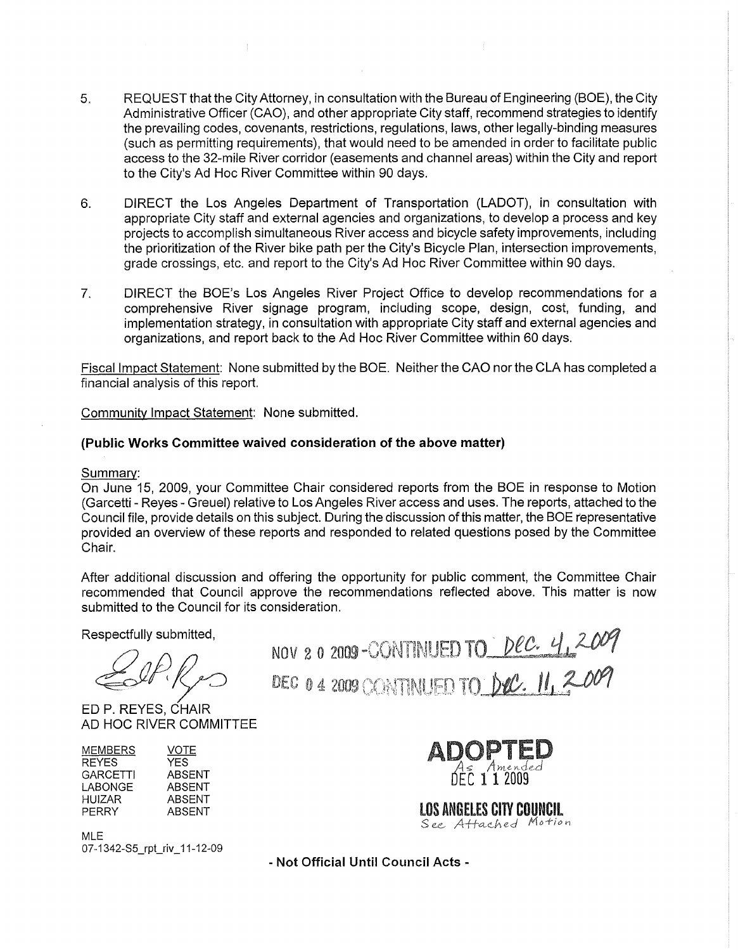- 5. REQUEST that the City Attorney, in consultation with the Bureau of Engineering (BOE), the City Administrative Officer (CAO), and other appropriate City staff, recommend strategies to identify the prevailing codes, covenants, restrictions, regulations, laws, other legally-binding measures (such as permitting requirements), that would need to be amended in order to facilitate public access to the 32-mile River corridor (easements and channel areas) within the City and report to the City's Ad Hoc River Committee within 90 days.
- 6. DIRECT the Los Angeles Department of Transportation (LADOT), in consultation with appropriate City staff and external agencies and organizations, to develop a process and key projects to accomplish simultaneous River access and bicycle safety improvements, including the prioritization of the River bike path per the City's Bicycle Plan, intersection improvements, grade crossings, etc. and report to the City's Ad Hoc River Committee within 90 days.
- 7. DIRECT the BOE's Los Angeles River Project Office to develop recommendations for a comprehensive River signage program, including scope, design, cost, funding, and implementation strategy, in consultation with appropriate City staff and external agencies and organizations, and report back to the Ad Hoc River Committee within 60 days.

Fiscal Impact Statement: None submitted by the BOE. Neither the CAO nor the CLA has completed a financial analysis of this report.

Community Impact Statement: None submitted.

# **(Public Works Committee waived consideration of the above matter)**

Summary:

On June 15, 2009, your Committee Chair considered reports from the BOE in response to Motion (Garcetti - Reyes - Greuel) relative to Los Angeles River access and uses. The reports, attached to the Council file, provide details on this subject. During the discussion of this matter, the BOE representative provided an overview of these reports and responded to related questions posed by the Committee Chair.

After additional discussion and offering the opportunity for public comment, the Committee Chair recommended that Council approve the recommendations reflected above. This matter is now submitted to the Council for its consideration.

Respectfully submitted,

*~P.0*

ED P. REYES, CHAIR AD HOC RIVER COMMITTEE

| VOTE   |
|--------|
| YFS    |
| ABSENT |
| ABSENT |
| ABSENT |
| ABSENT |
|        |

MLE 07-1342-S5\_rpt\_riv\_11-12-09

NOV 2 0 2009 DEC 04 2009



**LOS ANGELES CITY COUNCIL** See Attached Motion

**- Not Official Until Council Acts -**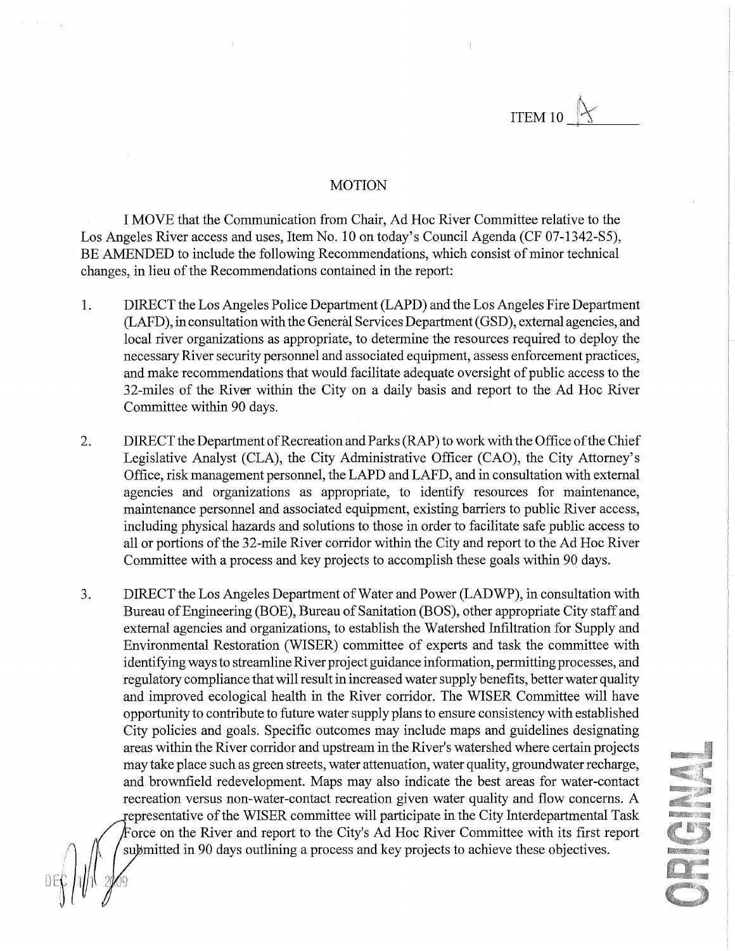ITEM 10\_-=----

### **MOTION**

I MOVE that the Communication from Chair, Ad Hoc River Committee relative to the Los Angeles River access and uses, Item No. 10 on today's Council Agenda (CF 07-1342-S5), BE AMENDED to include the following Recommendations, which consist of minor technical changes, in lieu of the Recommendations contained in the report:

- 1. DIRECT the Los Angeles Police Department (LAPD) and the Los Angeles Fire Department (LAFD), in consultation with the General Services Department (GSD), external agencies, and local river organizations as appropriate, to determine the resources required to deploy the necessary River security personnel and associated equipment, assess enforcement practices, and make recommendations that would facilitate adequate oversight of public access to the 32-miles of the River within the City on a daily basis and report to the Ad Hoc River Committee within 90 days.
- 2. DIRECT the Department of Recreation and Parks (RAP) to work with the Office ofthe Chief Legislative Analyst (CLA), the City Administrative Officer (CAO), the City Attorney's Office, risk management personnel, the LAPD and LAFD, and in consultation with external agencies and organizations as appropriate, to identify resources for maintenance, maintenance personnel and associated equipment, existing barriers to public River access, including physical hazards and solutions to those in order to facilitate safe public access to all or portions of the 32-mile River corridor within the City and report to the Ad Hoc River Committee with a process and key projects to accomplish these goals within 90 days.
- 3. DIRECT the Los Angeles Department of Water and Power (LADWP), in consultation with Bureau of Engineering (BOE), Bureau of Sanitation (BOS), other appropriate City staff and external agencies and organizations, to establish the Watershed Infiltration for Supply and Environmental Restoration (WISER) committee of experts and task the committee with identifying ways to streamline River project guidance information, permitting processes, and regulatory compliance that will result in increased water supply benefits, better water quality and improved ecological health in the River corridor. The WISER Committee will have opportunity to contribute to future water supply plans to ensure consistency with established City policies and goals. Specific outcomes may include maps and guidelines designating areas within the River corridor and upstream in the River's watershed where certain projects may take place such as green streets, water attenuation, water quality, groundwater recharge, and brownfield redevelopment. Maps may also indicate the best areas for water-contact recreation versus non-water-contact recreation given water quality and flow concerns. A epresentative of the WISER committee will participate in the City Interdepartmental Task Force on the River and report to the City's Ad Hoc River Committee with its first report submitted in 90 days outlining a process and key projects to achieve these objectives.